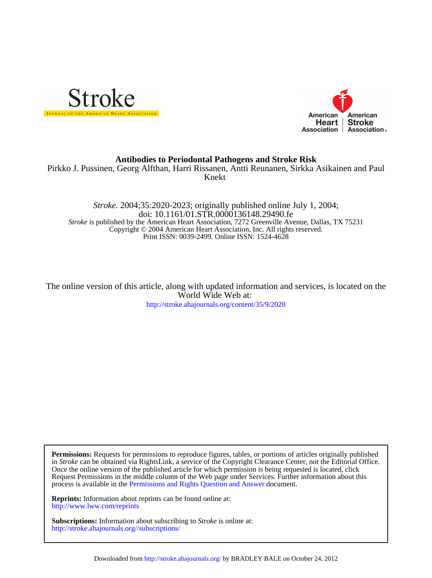



## **Antibodies to Periodontal Pathogens and Stroke Risk**

Knekt Pirkko J. Pussinen, Georg Alfthan, Harri Rissanen, Antti Reunanen, Sirkka Asikainen and Paul

Print ISSN: 0039-2499. Online ISSN: 1524-4628 Copyright © 2004 American Heart Association, Inc. All rights reserved. *Stroke* is published by the American Heart Association, 7272 Greenville Avenue, Dallas, TX 75231 doi: 10.1161/01.STR.0000136148.29490.fe *Stroke.* 2004;35:2020-2023; originally published online July 1, 2004;

<http://stroke.ahajournals.org/content/35/9/2020> World Wide Web at: The online version of this article, along with updated information and services, is located on the

process is available in the [Permissions and Rights Question and Answer d](http://www.ahajournals.org/site/rights/)ocument. Request Permissions in the middle column of the Web page under Services. Further information about this Once the online version of the published article for which permission is being requested is located, click in *Stroke* can be obtained via RightsLink, a service of the Copyright Clearance Center, not the Editorial Office. **Permissions:** Requests for permissions to reproduce figures, tables, or portions of articles originally published

<http://www.lww.com/reprints> **Reprints:** Information about reprints can be found online at:

<http://stroke.ahajournals.org//subscriptions/> **Subscriptions:** Information about subscribing to *Stroke* is online at: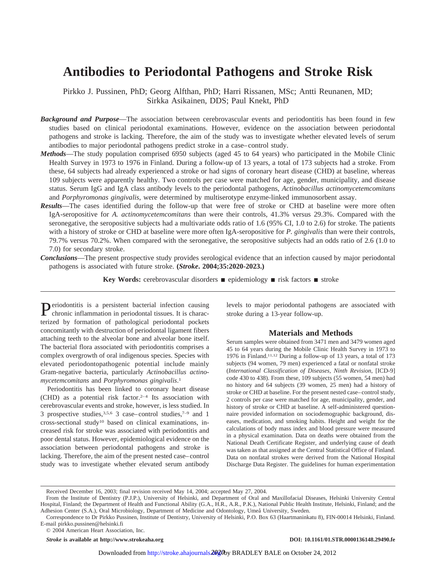# **Antibodies to Periodontal Pathogens and Stroke Risk**

Pirkko J. Pussinen, PhD; Georg Alfthan, PhD; Harri Rissanen, MSc; Antti Reunanen, MD; Sirkka Asikainen, DDS; Paul Knekt, PhD

- *Background and Purpose*—The association between cerebrovascular events and periodontitis has been found in few studies based on clinical periodontal examinations. However, evidence on the association between periodontal pathogens and stroke is lacking. Therefore, the aim of the study was to investigate whether elevated levels of serum antibodies to major periodontal pathogens predict stroke in a case–control study.
- *Methods*—The study population comprised 6950 subjects (aged 45 to 64 years) who participated in the Mobile Clinic Health Survey in 1973 to 1976 in Finland. During a follow-up of 13 years, a total of 173 subjects had a stroke. From these, 64 subjects had already experienced a stroke or had signs of coronary heart disease (CHD) at baseline, whereas 109 subjects were apparently healthy. Two controls per case were matched for age, gender, municipality, and disease status. Serum IgG and IgA class antibody levels to the periodontal pathogens, *Actinobacillus actinomycetemcomitans* and *Porphyromonas gingivalis*, were determined by multiserotype enzyme-linked immunosorbent assay.
- *Results*—The cases identified during the follow-up that were free of stroke or CHD at baseline were more often IgA-seropositive for *A. actinomycetemcomitans* than were their controls, 41.3% versus 29.3%. Compared with the seronegative, the seropositive subjects had a multivariate odds ratio of 1.6 (95% CI, 1.0 to 2.6) for stroke. The patients with a history of stroke or CHD at baseline were more often IgA-seropositive for *P. gingivalis* than were their controls, 79.7% versus 70.2%. When compared with the seronegative, the seropositive subjects had an odds ratio of 2.6 (1.0 to 7.0) for secondary stroke.
- *Conclusions*—The present prospective study provides serological evidence that an infection caused by major periodontal pathogens is associated with future stroke. **(***Stroke***. 2004;35:2020-2023.)**

**Key Words:** cerebrovascular disorders  $\blacksquare$  epidemiology  $\blacksquare$  risk factors  $\blacksquare$  stroke

Periodontitis is a persistent bacterial infection causing<br>chronic inflammati chronic inflammation in periodontal tissues. It is characterized by formation of pathological periodontal pockets concomitantly with destruction of periodontal ligament fibers attaching teeth to the alveolar bone and alveolar bone itself. The bacterial flora associated with periodontitis comprises a complex overgrowth of oral indigenous species. Species with elevated periodontopathogenic potential include mainly Gram-negative bacteria, particularly *Actinobacillus actinomycetemcomitans* and *Porphyromonas gingivalis*. 1

Periodontitis has been linked to coronary heart disease  $(CHD)$  as a potential risk factor.<sup>2-4</sup> Its association with cerebrovascular events and stroke, however, is less studied. In 3 prospective studies,3,5,6 3 case–control studies,7–9 and 1 cross-sectional study10 based on clinical examinations, increased risk for stroke was associated with periodontitis and poor dental status. However, epidemiological evidence on the association between periodontal pathogens and stroke is lacking. Therefore, the aim of the present nested case–control study was to investigate whether elevated serum antibody levels to major periodontal pathogens are associated with stroke during a 13-year follow-up.

## **Materials and Methods**

Serum samples were obtained from 3471 men and 3479 women aged 45 to 64 years during the Mobile Clinic Health Survey in 1973 to 1976 in Finland.11,12 During a follow-up of 13 years, a total of 173 subjects (94 women, 79 men) experienced a fatal or nonfatal stroke (*International Classification of Diseases, Ninth Revision*, [ICD-9] code 430 to 438). From these, 109 subjects (55 women, 54 men) had no history and 64 subjects (39 women, 25 men) had a history of stroke or CHD at baseline. For the present nested case–control study, 2 controls per case were matched for age, municipality, gender, and history of stroke or CHD at baseline. A self-administered questionnaire provided information on sociodemographic background, diseases, medication, and smoking habits. Height and weight for the calculations of body mass index and blood pressure were measured in a physical examination. Data on deaths were obtained from the National Death Certificate Register, and underlying cause of death was taken as that assigned at the Central Statistical Office of Finland. Data on nonfatal strokes were derived from the National Hospital Discharge Data Register. The guidelines for human experimentation

Received December 16, 2003; final revision received May 14, 2004; accepted May 27, 2004.

From the Institute of Dentistry (P.J.P.), University of Helsinki, and Department of Oral and Maxillofacial Diseases, Helsinki University Central Hospital, Finland; the Department of Health and Functional Ability (G.A., H.R., A.R., P.K.), National Public Health Institute, Helsinki, Finland; and the Adhesion Center (S.A.), Oral Microbiology, Department of Medicine and Odontology, Umeå University, Sweden.

Correspondence to Dr Pirkko Pussinen, Institute of Dentistry, University of Helsinki, P.O. Box 63 (Haartmaninkatu 8), FIN-00014 Helsinki, Finland. E-mail pirkko.pussinen@helsinki.fi

<sup>© 2004</sup> American Heart Association, Inc.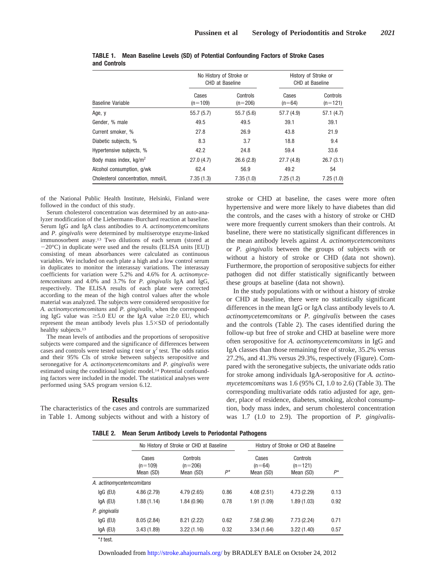|                                    |                    | No History of Stroke or<br>CHD at Baseline | History of Stroke or<br>CHD at Baseline |                       |
|------------------------------------|--------------------|--------------------------------------------|-----------------------------------------|-----------------------|
| Baseline Variable                  | Cases<br>$(n=109)$ | Controls<br>$(n=206)$                      | Cases<br>$(n=64)$                       | Controls<br>$(n=121)$ |
| Age, y                             | 55.7(5.7)          | 55.7(5.6)                                  | 57.7 (4.9)                              | 57.1(4.7)             |
| Gender, % male                     | 49.5               | 49.5                                       | 39.1                                    | 39.1                  |
| Current smoker, %                  | 27.8               | 26.9                                       | 43.8                                    | 21.9                  |
| Diabetic subjects, %               | 8.3                | 3.7                                        | 18.8                                    | 9.4                   |
| Hypertensive subjects, %           | 42.2               | 24.8                                       | 59.4                                    | 33.6                  |
| Body mass index, kg/m <sup>2</sup> | 27.0(4.7)          | 26.6(2.8)                                  | 27.7(4.8)                               | 26.7(3.1)             |
| Alcohol consumption, g/wk          | 62.4               | 56.9                                       | 49.2                                    | 54                    |
| Cholesterol concentration, mmol/L  | 7.35(1.3)          | 7.35(1.0)                                  | 7.25(1.2)                               | 7.25(1.0)             |

|              | <b>TABLE 1. Mean Baseline Levels (SD) of Potential Confounding Factors of Stroke Cases</b> |  |
|--------------|--------------------------------------------------------------------------------------------|--|
| and Controls |                                                                                            |  |

of the National Public Health Institute, Helsinki, Finland were followed in the conduct of this study.

Serum cholesterol concentration was determined by an auto-analyzer modification of the Liebermann–Burchard reaction at baseline. Serum IgG and IgA class antibodies to *A. actinomycetemcomitans* and *P. gingivalis* were determined by multiserotype enzyme-linked immunosorbent assay.13 Two dilutions of each serum (stored at  $-20^{\circ}$ C) in duplicate were used and the results (ELISA units [EU]) consisting of mean absorbances were calculated as continuous variables. We included on each plate a high and a low control serum in duplicates to monitor the interassay variations. The interassay coefficients for variation were 5.2% and 4.6% for *A. actinomycetemcomitans* and 4.0% and 3.7% for *P. gingivalis* IgA and IgG, respectively. The ELISA results of each plate were corrected according to the mean of the high control values after the whole material was analyzed. The subjects were considered seropositive for *A. actinomycetemcomitans* and *P. gingivalis*, when the corresponding IgG value was  $\geq 5.0$  EU or the IgA value  $\geq 2.0$  EU, which represent the mean antibody levels plus  $1.5 \times SD$  of periodontally healthy subjects.<sup>13</sup>

The mean levels of antibodies and the proportions of seropositive subjects were compared and the significance of differences between cases and controls were tested using *t* test or  $\chi^2$  test. The odds ratios and their 95% CIs of stroke between subjects seropositive and seronegative for *A. actinomycetemcomitans* and *P. gingivalis* were estimated using the conditional logistic model.<sup>14</sup> Potential confounding factors were included in the model. The statistical analyses were performed using SAS program version 6.12.

## **Results**

The characteristics of the cases and controls are summarized in Table 1. Among subjects without and with a history of

stroke or CHD at baseline, the cases were more often hypertensive and were more likely to have diabetes than did the controls, and the cases with a history of stroke or CHD were more frequently current smokers than their controls. At baseline, there were no statistically significant differences in the mean antibody levels against *A. actinomycetemcomitans* or *P. gingivalis* between the groups of subjects with or without a history of stroke or CHD (data not shown). Furthermore, the proportion of seropositive subjects for either pathogen did not differ statistically significantly between these groups at baseline (data not shown).

In the study populations with or without a history of stroke or CHD at baseline, there were no statistically significant differences in the mean IgG or IgA class antibody levels to *A. actinomycetemcomitans* or *P. gingivalis* between the cases and the controls (Table 2). The cases identified during the follow-up but free of stroke and CHD at baseline were more often seropositive for *A. actinomycetemcomitans* in IgG and IgA classes than those remaining free of stroke, 35.2% versus 27.2%, and 41.3% versus 29.3%, respectively (Figure). Compared with the seronegative subjects, the univariate odds ratio for stroke among individuals IgA-seropositive for *A. actinomycetemcomitans* was 1.6 (95% CI, 1.0 to 2.6) (Table 3). The corresponding multivariate odds ratio adjusted for age, gender, place of residence, diabetes, smoking, alcohol consumption, body mass index, and serum cholesterol concentration was 1.7 (1.0 to 2.9). The proportion of *P. gingivalis-*

**TABLE 2. Mean Serum Antibody Levels to Periodontal Pathogens**

|                          |                                 | No History of Stroke or CHD at Baseline |      | History of Stroke or CHD at Baseline |                                    |      |
|--------------------------|---------------------------------|-----------------------------------------|------|--------------------------------------|------------------------------------|------|
|                          | Cases<br>$(n=109)$<br>Mean (SD) | Controls<br>$(n=206)$<br>Mean (SD)      | P*   | Cases<br>$(n=64)$<br>Mean (SD)       | Controls<br>$(n=121)$<br>Mean (SD) | P*   |
| A. actinomycetemcomitans |                                 |                                         |      |                                      |                                    |      |
| $lgG$ (EU)               | 4.86(2.79)                      | 4.79(2.65)                              | 0.86 | 4.08(2.51)                           | 4.73(2.29)                         | 0.13 |
| $IgA$ (EU)               | 1.88(1.14)                      | 1.84 (0.96)                             | 0.78 | 1.91 (1.09)                          | 1.89(1.03)                         | 0.92 |
| P. gingivalis            |                                 |                                         |      |                                      |                                    |      |
| $lgG$ (EU)               | 8.05(2.84)                      | 8.21(2.22)                              | 0.62 | 7.58(2.96)                           | 7.73(2.24)                         | 0.71 |
| IgA (EU)                 | 3.43(1.89)                      | 3.22(1.16)                              | 0.32 | 3.34(1.64)                           | 3.22(1.40)                         | 0.57 |

\**t* test.

Downloaded from<http://stroke.ahajournals.org/>by BRADLEY BALE on October 24, 2012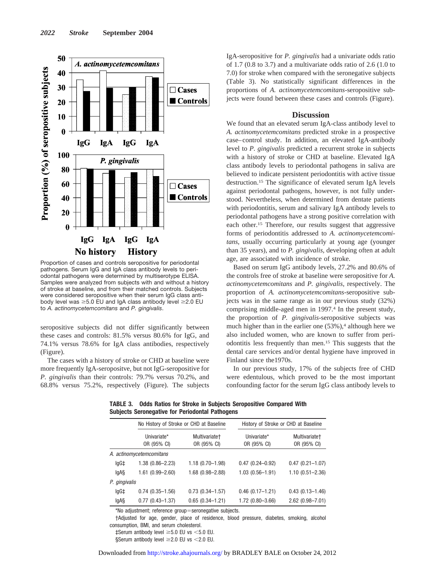

Proportion of cases and controls seropositive for periodontal pathogens. Serum IgG and IgA class antibody levels to periodontal pathogens were determined by multiserotype ELISA. Samples were analyzed from subjects with and without a history of stroke at baseline, and from their matched controls. Subjects were considered seropositive when their serum IgG class antibody level was  $\geq 5.0$  EU and IgA class antibody level  $\geq 2.0$  EU to *A. actinomycetemcomitans* and *P. gingivalis*.

seropositive subjects did not differ significantly between these cases and controls: 81.5% versus 80.6% for IgG, and 74.1% versus 78.6% for IgA class antibodies, respectively (Figure).

The cases with a history of stroke or CHD at baseline were more frequently IgA-seropositve, but not IgG-seropositive for *P. gingivalis* than their controls: 79.7% versus 70.2%, and 68.8% versus 75.2%, respectively (Figure). The subjects IgA-seropositive for *P. gingivalis* had a univariate odds ratio of 1.7 (0.8 to 3.7) and a multivariate odds ratio of 2.6 (1.0 to 7.0) for stroke when compared with the seronegative subjects (Table 3). No statistically significant differences in the proportions of *A. actinomycetemcomitans-*seropositive subjects were found between these cases and controls (Figure).

### **Discussion**

We found that an elevated serum IgA-class antibody level to *A. actinomycetemcomitans* predicted stroke in a prospective case–control study. In addition, an elevated IgA-antibody level to *P. gingivalis* predicted a recurrent stroke in subjects with a history of stroke or CHD at baseline. Elevated IgA class antibody levels to periodontal pathogens in saliva are believed to indicate persistent periodontitis with active tissue destruction.15 The significance of elevated serum IgA levels against periodontal pathogens, however, is not fully understood. Nevertheless, when determined from dentate patients with periodontitis, serum and salivary IgA antibody levels to periodontal pathogens have a strong positive correlation with each other.15 Therefore, our results suggest that aggressive forms of periodontitis addressed to *A. actinomycetemcomitans*, usually occurring particularly at young age (younger than 35 years), and to *P. gingivalis,* developing often at adult age, are associated with incidence of stroke.

Based on serum IgG antibody levels, 27.2% and 80.6% of the controls free of stroke at baseline were seropositive for *A. actinomycetemcomitans* and *P. gingivalis*, respectively. The proportion of *A. actinomycetemcomitans*-seropositive subjects was in the same range as in our previous study (32%) comprising middle-aged men in 1997.4 In the present study, the proportion of *P. gingivalis-*seropositive subjects was much higher than in the earlier one  $(53\%)$ ,<sup>4</sup> although here we also included women, who are known to suffer from periodontitis less frequently than men.15 This suggests that the dental care services and/or dental hygiene have improved in Finland since the1970s.

In our previous study, 17% of the subjects free of CHD were edentulous, which proved to be the most important confounding factor for the serum IgG class antibody levels to

**TABLE 3. Odds Ratios for Stroke in Subjects Seropositive Compared With Subjects Seronegative for Periodontal Pathogens**

|               | No History of Stroke or CHD at Baseline |                              | History of Stroke or CHD at Baseline |                              |  |
|---------------|-----------------------------------------|------------------------------|--------------------------------------|------------------------------|--|
|               | Univariate*<br>OR (95% CI)              | Multivariate+<br>OR (95% CI) | Univariate*<br>OR (95% CI)           | Multivariate+<br>OR (95% CI) |  |
|               | A. actinomycetemcomitans                |                              |                                      |                              |  |
| lgG‡          | $1.38(0.86 - 2.23)$                     | $1.18(0.70 - 1.98)$          | $0.47(0.24 - 0.92)$                  | $0.47(0.21 - 1.07)$          |  |
| lgA§          | $1.61(0.99 - 2.60)$                     | $1.68(0.98 - 2.88)$          | $1.03(0.56 - 1.91)$                  | $1.10(0.51 - 2.36)$          |  |
| P. gingivalis |                                         |                              |                                      |                              |  |
| lgG‡          | $0.74(0.35 - 1.56)$                     | $0.73(0.34 - 1.57)$          | $0.46$ (0.17-1.21)                   | $0.43(0.13 - 1.46)$          |  |
| lgA§          | $0.77(0.43 - 1.37)$                     | $0.65(0.34 - 1.21)$          | $1.72(0.80 - 3.66)$                  | $2.62$ (0.98-7.01)           |  |

\*No adjustment; reference group=seronegative subjects.

†Adjusted for age, gender, place of residence, blood pressure, diabetes, smoking, alcohol consumption, BMI, and serum cholesterol.

 $\text{\tt\ddagger}$ Serum antibody level  $\geq 5.0$  EU vs < 5.0 EU.

§Serum antibody level  $\geq$  2.0 EU vs < 2.0 EU.